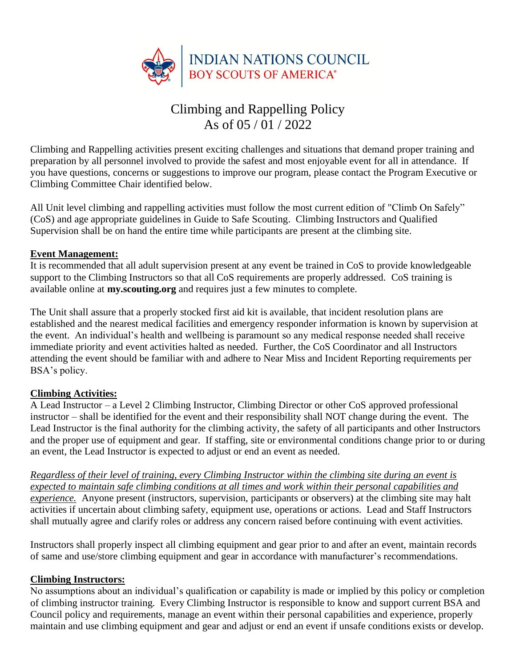

# Climbing and Rappelling Policy As of 05 / 01 / 2022

Climbing and Rappelling activities present exciting challenges and situations that demand proper training and preparation by all personnel involved to provide the safest and most enjoyable event for all in attendance. If you have questions, concerns or suggestions to improve our program, please contact the Program Executive or Climbing Committee Chair identified below.

All Unit level climbing and rappelling activities must follow the most current edition of "Climb On Safely" (CoS) and age appropriate guidelines in Guide to Safe Scouting. Climbing Instructors and Qualified Supervision shall be on hand the entire time while participants are present at the climbing site.

#### **Event Management:**

It is recommended that all adult supervision present at any event be trained in CoS to provide knowledgeable support to the Climbing Instructors so that all CoS requirements are properly addressed. CoS training is available online at **my.scouting.org** and requires just a few minutes to complete.

The Unit shall assure that a properly stocked first aid kit is available, that incident resolution plans are established and the nearest medical facilities and emergency responder information is known by supervision at the event. An individual's health and wellbeing is paramount so any medical response needed shall receive immediate priority and event activities halted as needed. Further, the CoS Coordinator and all Instructors attending the event should be familiar with and adhere to Near Miss and Incident Reporting requirements per BSA's policy.

## **Climbing Activities:**

A Lead Instructor – a Level 2 Climbing Instructor, Climbing Director or other CoS approved professional instructor – shall be identified for the event and their responsibility shall NOT change during the event. The Lead Instructor is the final authority for the climbing activity, the safety of all participants and other Instructors and the proper use of equipment and gear. If staffing, site or environmental conditions change prior to or during an event, the Lead Instructor is expected to adjust or end an event as needed.

*Regardless of their level of training, every Climbing Instructor within the climbing site during an event is expected to maintain safe climbing conditions at all times and work within their personal capabilities and experience.* Anyone present (instructors, supervision, participants or observers) at the climbing site may halt activities if uncertain about climbing safety, equipment use, operations or actions. Lead and Staff Instructors shall mutually agree and clarify roles or address any concern raised before continuing with event activities.

Instructors shall properly inspect all climbing equipment and gear prior to and after an event, maintain records of same and use/store climbing equipment and gear in accordance with manufacturer's recommendations.

#### **Climbing Instructors:**

No assumptions about an individual's qualification or capability is made or implied by this policy or completion of climbing instructor training. Every Climbing Instructor is responsible to know and support current BSA and Council policy and requirements, manage an event within their personal capabilities and experience, properly maintain and use climbing equipment and gear and adjust or end an event if unsafe conditions exists or develop.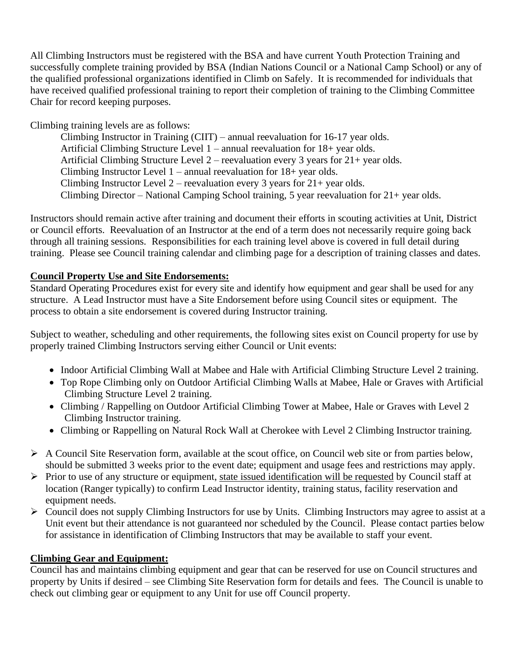All Climbing Instructors must be registered with the BSA and have current Youth Protection Training and successfully complete training provided by BSA (Indian Nations Council or a National Camp School) or any of the qualified professional organizations identified in Climb on Safely. It is recommended for individuals that have received qualified professional training to report their completion of training to the Climbing Committee Chair for record keeping purposes.

Climbing training levels are as follows:

Climbing Instructor in Training (CIIT) – annual reevaluation for 16-17 year olds. Artificial Climbing Structure Level 1 – annual reevaluation for 18+ year olds. Artificial Climbing Structure Level 2 – reevaluation every 3 years for 21+ year olds. Climbing Instructor Level 1 – annual reevaluation for 18+ year olds. Climbing Instructor Level 2 – reevaluation every 3 years for  $21+$  year olds. Climbing Director – National Camping School training, 5 year reevaluation for 21+ year olds.

Instructors should remain active after training and document their efforts in scouting activities at Unit, District or Council efforts. Reevaluation of an Instructor at the end of a term does not necessarily require going back through all training sessions. Responsibilities for each training level above is covered in full detail during training. Please see Council training calendar and climbing page for a description of training classes and dates.

## **Council Property Use and Site Endorsements:**

Standard Operating Procedures exist for every site and identify how equipment and gear shall be used for any structure. A Lead Instructor must have a Site Endorsement before using Council sites or equipment. The process to obtain a site endorsement is covered during Instructor training.

Subject to weather, scheduling and other requirements, the following sites exist on Council property for use by properly trained Climbing Instructors serving either Council or Unit events:

- Indoor Artificial Climbing Wall at Mabee and Hale with Artificial Climbing Structure Level 2 training.
- Top Rope Climbing only on Outdoor Artificial Climbing Walls at Mabee, Hale or Graves with Artificial Climbing Structure Level 2 training.
- Climbing / Rappelling on Outdoor Artificial Climbing Tower at Mabee, Hale or Graves with Level 2 Climbing Instructor training.
- Climbing or Rappelling on Natural Rock Wall at Cherokee with Level 2 Climbing Instructor training.
- ➢ A Council Site Reservation form, available at the scout office, on Council web site or from parties below, should be submitted 3 weeks prior to the event date; equipment and usage fees and restrictions may apply.
- ➢ Prior to use of any structure or equipment, state issued identification will be requested by Council staff at location (Ranger typically) to confirm Lead Instructor identity, training status, facility reservation and equipment needs.
- $\triangleright$  Council does not supply Climbing Instructors for use by Units. Climbing Instructors may agree to assist at a Unit event but their attendance is not guaranteed nor scheduled by the Council. Please contact parties below for assistance in identification of Climbing Instructors that may be available to staff your event.

## **Climbing Gear and Equipment:**

Council has and maintains climbing equipment and gear that can be reserved for use on Council structures and property by Units if desired – see Climbing Site Reservation form for details and fees. The Council is unable to check out climbing gear or equipment to any Unit for use off Council property.